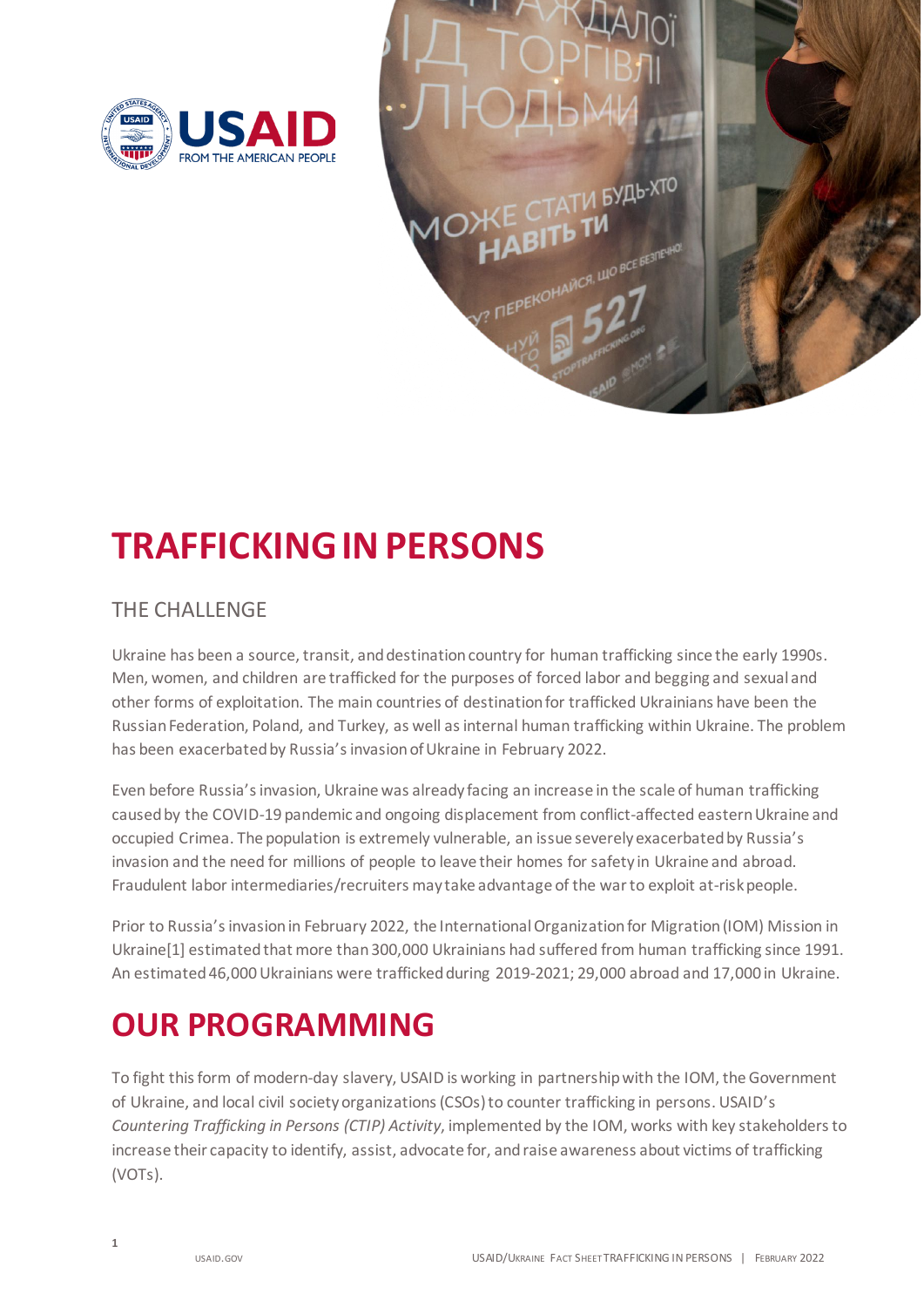

## **TRAFFICKINGIN PERSONS**

## THE CHALLENGE

 Ukraine has been a source, transit, and destination country for human trafficking since the early 1990s. Men, women, and children are trafficked for the purposes of forced labor and begging and sexual and other forms of exploitation. The main countries of destination for trafficked Ukrainians have been the Russian Federation, Poland, and Turkey, as well as internal human trafficking within Ukraine. The problem has been exacerbated by Russia's invasion of Ukraine in February 2022.

 Even before Russia's invasion, Ukraine was already facing an increase in the scale of human trafficking caused by the COVID-19 pandemic and ongoing displacement from conflict-affected eastern Ukraine and invasion and the need for millions of people to leave their homes for safety in Ukraine and abroad. Fraudulent labor intermediaries/recruiters may take advantage of the war to exploit at-risk people. occupied Crimea. The population is extremely vulnerable, an issue severely exacerbated by Russia's

 Ukraine[1] estimated that more than 300,000 Ukrainians had suffered from human trafficking since 1991. An estimated 46,000 Ukrainians were trafficked during 2019-2021; 29,000 abroad and 17,000 in Ukraine. Prior to Russia's invasion in February 2022, the International Organization for Migration (IOM) Mission in

## **OUR PROGRAMMING**

 To fight this form of modern-day slavery, USAID is working in partnership with the IOM, the Government of Ukraine, and local civil society organizations (CSOs) to counter trafficking in persons. USAID's *Countering Trafficking in Persons (CTIP) Activity*, implemented by the IOM, works with key stakeholders to increase their capacity to identify, assist, advocate for, and raise awareness about victims of trafficking (VOTs).